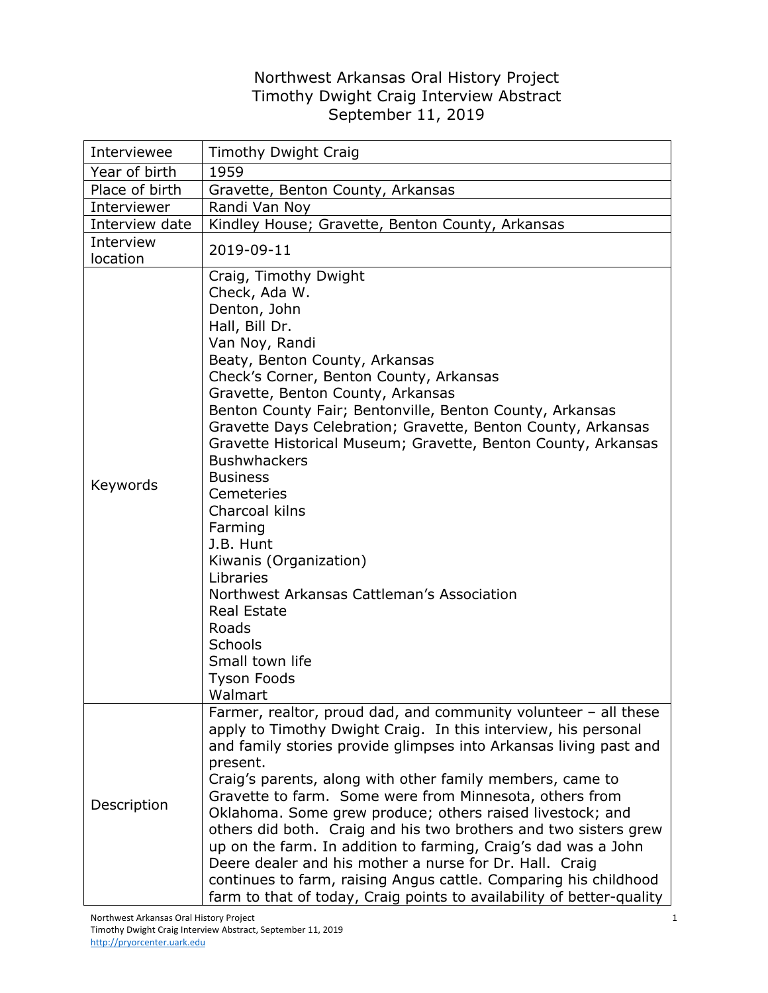## Northwest Arkansas Oral History Project Timothy Dwight Craig Interview Abstract September 11, 2019

| Interviewee           | <b>Timothy Dwight Craig</b>                                                                                                                                                                                                                                                                                                                                                                                                                                                                                                                                                                                                                                                                                                                           |
|-----------------------|-------------------------------------------------------------------------------------------------------------------------------------------------------------------------------------------------------------------------------------------------------------------------------------------------------------------------------------------------------------------------------------------------------------------------------------------------------------------------------------------------------------------------------------------------------------------------------------------------------------------------------------------------------------------------------------------------------------------------------------------------------|
| Year of birth         | 1959                                                                                                                                                                                                                                                                                                                                                                                                                                                                                                                                                                                                                                                                                                                                                  |
| Place of birth        | Gravette, Benton County, Arkansas                                                                                                                                                                                                                                                                                                                                                                                                                                                                                                                                                                                                                                                                                                                     |
| Interviewer           | Randi Van Noy                                                                                                                                                                                                                                                                                                                                                                                                                                                                                                                                                                                                                                                                                                                                         |
| Interview date        | Kindley House; Gravette, Benton County, Arkansas                                                                                                                                                                                                                                                                                                                                                                                                                                                                                                                                                                                                                                                                                                      |
| Interview<br>location | 2019-09-11                                                                                                                                                                                                                                                                                                                                                                                                                                                                                                                                                                                                                                                                                                                                            |
| Keywords              | Craig, Timothy Dwight<br>Check, Ada W.<br>Denton, John<br>Hall, Bill Dr.<br>Van Noy, Randi<br>Beaty, Benton County, Arkansas<br>Check's Corner, Benton County, Arkansas<br>Gravette, Benton County, Arkansas<br>Benton County Fair; Bentonville, Benton County, Arkansas<br>Gravette Days Celebration; Gravette, Benton County, Arkansas<br>Gravette Historical Museum; Gravette, Benton County, Arkansas<br><b>Bushwhackers</b><br><b>Business</b><br>Cemeteries<br>Charcoal kilns<br>Farming<br>J.B. Hunt<br>Kiwanis (Organization)<br>Libraries<br>Northwest Arkansas Cattleman's Association<br><b>Real Estate</b><br>Roads<br><b>Schools</b><br>Small town life<br><b>Tyson Foods</b><br>Walmart                                                 |
| Description           | Farmer, realtor, proud dad, and community volunteer - all these<br>apply to Timothy Dwight Craig. In this interview, his personal<br>and family stories provide glimpses into Arkansas living past and<br>present.<br>Craig's parents, along with other family members, came to<br>Gravette to farm. Some were from Minnesota, others from<br>Oklahoma. Some grew produce; others raised livestock; and<br>others did both. Craig and his two brothers and two sisters grew<br>up on the farm. In addition to farming, Craig's dad was a John<br>Deere dealer and his mother a nurse for Dr. Hall. Craig<br>continues to farm, raising Angus cattle. Comparing his childhood<br>farm to that of today, Craig points to availability of better-quality |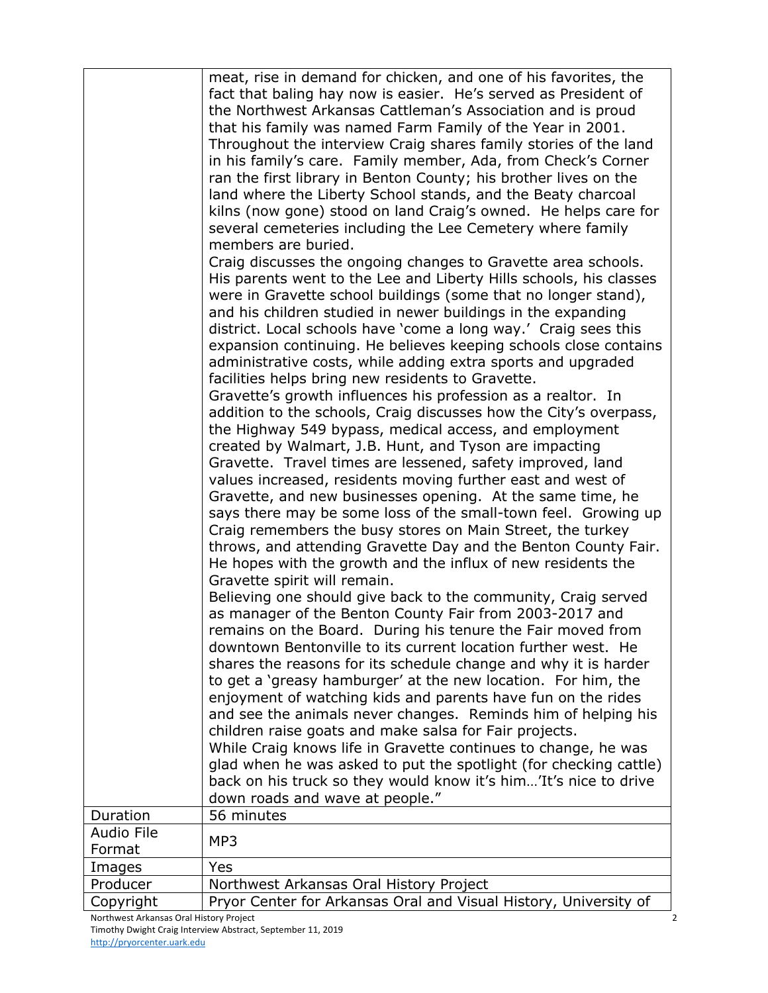|                                         | meat, rise in demand for chicken, and one of his favorites, the<br>fact that baling hay now is easier. He's served as President of<br>the Northwest Arkansas Cattleman's Association and is proud<br>that his family was named Farm Family of the Year in 2001.<br>Throughout the interview Craig shares family stories of the land<br>in his family's care. Family member, Ada, from Check's Corner<br>ran the first library in Benton County; his brother lives on the<br>land where the Liberty School stands, and the Beaty charcoal<br>kilns (now gone) stood on land Craig's owned. He helps care for<br>several cemeteries including the Lee Cemetery where family<br>members are buried.<br>Craig discusses the ongoing changes to Gravette area schools. |  |
|-----------------------------------------|-------------------------------------------------------------------------------------------------------------------------------------------------------------------------------------------------------------------------------------------------------------------------------------------------------------------------------------------------------------------------------------------------------------------------------------------------------------------------------------------------------------------------------------------------------------------------------------------------------------------------------------------------------------------------------------------------------------------------------------------------------------------|--|
|                                         | His parents went to the Lee and Liberty Hills schools, his classes<br>were in Gravette school buildings (some that no longer stand),<br>and his children studied in newer buildings in the expanding<br>district. Local schools have 'come a long way.' Craig sees this                                                                                                                                                                                                                                                                                                                                                                                                                                                                                           |  |
|                                         | expansion continuing. He believes keeping schools close contains<br>administrative costs, while adding extra sports and upgraded<br>facilities helps bring new residents to Gravette.<br>Gravette's growth influences his profession as a realtor. In                                                                                                                                                                                                                                                                                                                                                                                                                                                                                                             |  |
|                                         | addition to the schools, Craig discusses how the City's overpass,<br>the Highway 549 bypass, medical access, and employment<br>created by Walmart, J.B. Hunt, and Tyson are impacting<br>Gravette. Travel times are lessened, safety improved, land<br>values increased, residents moving further east and west of                                                                                                                                                                                                                                                                                                                                                                                                                                                |  |
|                                         | Gravette, and new businesses opening. At the same time, he<br>says there may be some loss of the small-town feel. Growing up<br>Craig remembers the busy stores on Main Street, the turkey<br>throws, and attending Gravette Day and the Benton County Fair.<br>He hopes with the growth and the influx of new residents the<br>Gravette spirit will remain.                                                                                                                                                                                                                                                                                                                                                                                                      |  |
|                                         | Believing one should give back to the community, Craig served<br>as manager of the Benton County Fair from 2003-2017 and<br>remains on the Board. During his tenure the Fair moved from<br>downtown Bentonville to its current location further west. He<br>shares the reasons for its schedule change and why it is harder<br>to get a 'greasy hamburger' at the new location. For him, the<br>enjoyment of watching kids and parents have fun on the rides<br>and see the animals never changes. Reminds him of helping his<br>children raise goats and make salsa for Fair projects.                                                                                                                                                                           |  |
|                                         | While Craig knows life in Gravette continues to change, he was<br>glad when he was asked to put the spotlight (for checking cattle)<br>back on his truck so they would know it's him'It's nice to drive<br>down roads and wave at people."                                                                                                                                                                                                                                                                                                                                                                                                                                                                                                                        |  |
| Duration                                | 56 minutes                                                                                                                                                                                                                                                                                                                                                                                                                                                                                                                                                                                                                                                                                                                                                        |  |
| Audio File<br>Format                    | MP3                                                                                                                                                                                                                                                                                                                                                                                                                                                                                                                                                                                                                                                                                                                                                               |  |
| Images                                  | Yes                                                                                                                                                                                                                                                                                                                                                                                                                                                                                                                                                                                                                                                                                                                                                               |  |
| Producer                                | Northwest Arkansas Oral History Project                                                                                                                                                                                                                                                                                                                                                                                                                                                                                                                                                                                                                                                                                                                           |  |
| Copyright                               | Pryor Center for Arkansas Oral and Visual History, University of                                                                                                                                                                                                                                                                                                                                                                                                                                                                                                                                                                                                                                                                                                  |  |
| Northwest Arkansas Oral History Project |                                                                                                                                                                                                                                                                                                                                                                                                                                                                                                                                                                                                                                                                                                                                                                   |  |